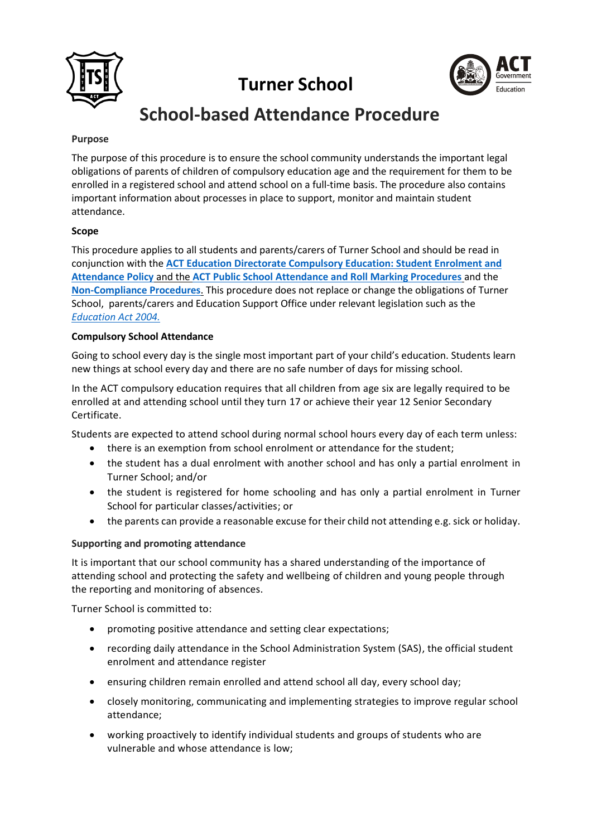





# **School-based Attendance Procedure**

# **Purpose**

The purpose of this procedure is to ensure the school community understands the important legal obligations of parents of children of compulsory education age and the requirement for them to be enrolled in a registered school and attend school on a full-time basis. The procedure also contains important information about processes in place to support, monitor and maintain student attendance.

# **Scope**

This procedure applies to all students and parents/carers of Turner School and should be read in conjunction with the **[ACT Education Directorate Compulsory Education: Student Enrolment and](https://www.education.act.gov.au/publications_and_policies/policies)  [Attendance Policy](https://www.education.act.gov.au/publications_and_policies/policies)** and the **[ACT Public School Attendance and Roll Marking Procedures](https://www.education.act.gov.au/publications_and_policies/policies)** and the **[Non-Compliance](https://www.education.act.gov.au/publications_and_policies/policies) Procedures**. This procedure does not replace or change the obligations of Turner School, parents/carers and Education Support Office under relevant legislation such as the *[Education Act 2004.](file:///C:/Users/rebecca%20bray/AppData/Local/Packages/Microsoft.MicrosoftEdge_8wekyb3d8bbwe/TempState/Downloads/2004-17%20(5).pdf)*

## **Compulsory School Attendance**

Going to school every day is the single most important part of your child's education. Students learn new things at school every day and there are no safe number of days for missing school.

In the ACT compulsory education requires that all children from age six are legally required to be enrolled at and attending school until they turn 17 or achieve their year 12 Senior Secondary Certificate.

Students are expected to attend school during normal school hours every day of each term unless:

- there is an exemption from school enrolment or attendance for the student;
- the student has a dual enrolment with another school and has only a partial enrolment in Turner School; and/or
- the student is registered for home schooling and has only a partial enrolment in Turner School for particular classes/activities; or
- the parents can provide a reasonable excuse for their child not attending e.g. sick or holiday.

## **Supporting and promoting attendance**

It is important that our school community has a shared understanding of the importance of attending school and protecting the safety and wellbeing of children and young people through the reporting and monitoring of absences.

Turner School is committed to:

- promoting positive attendance and setting clear expectations;
- recording daily attendance in the School Administration System (SAS), the official student enrolment and attendance register
- ensuring children remain enrolled and attend school all day, every school day;
- closely monitoring, communicating and implementing strategies to improve regular school attendance;
- working proactively to identify individual students and groups of students who are vulnerable and whose attendance is low;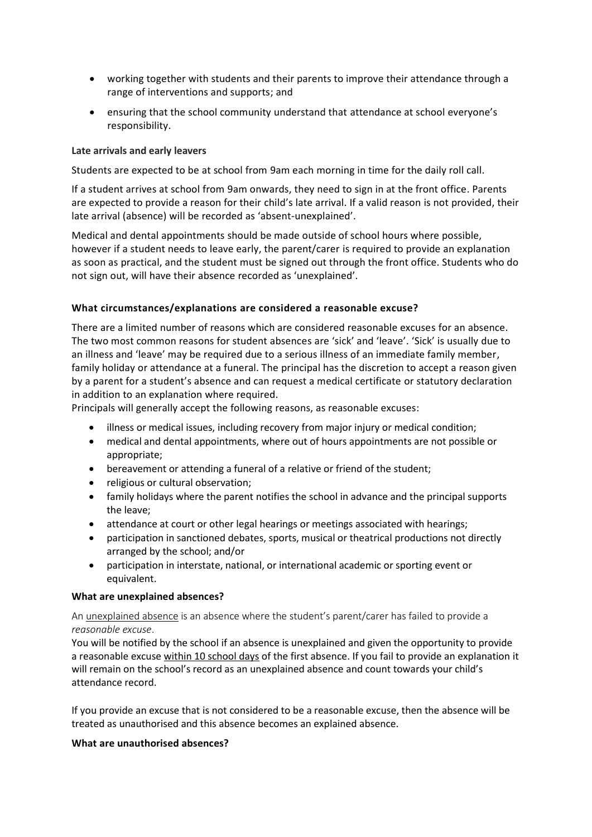- working together with students and their parents to improve their attendance through a range of interventions and supports; and
- ensuring that the school community understand that attendance at school everyone's responsibility.

## **Late arrivals and early leavers**

Students are expected to be at school from 9am each morning in time for the daily roll call.

If a student arrives at school from 9am onwards, they need to sign in at the front office. Parents are expected to provide a reason for their child's late arrival. If a valid reason is not provided, their late arrival (absence) will be recorded as 'absent-unexplained'.

Medical and dental appointments should be made outside of school hours where possible, however if a student needs to leave early, the parent/carer is required to provide an explanation as soon as practical, and the student must be signed out through the front office. Students who do not sign out, will have their absence recorded as 'unexplained'.

# **What circumstances/explanations are considered a reasonable excuse?**

There are a limited number of reasons which are considered reasonable excuses for an absence. The two most common reasons for student absences are 'sick' and 'leave'. 'Sick' is usually due to an illness and 'leave' may be required due to a serious illness of an immediate family member, family holiday or attendance at a funeral. The principal has the discretion to accept a reason given by a parent for a student's absence and can request a medical certificate or statutory declaration in addition to an explanation where required.

Principals will generally accept the following reasons, as reasonable excuses:

- illness or medical issues, including recovery from major injury or medical condition;
- medical and dental appointments, where out of hours appointments are not possible or appropriate;
- bereavement or attending a funeral of a relative or friend of the student;
- religious or cultural observation;
- family holidays where the parent notifies the school in advance and the principal supports the leave;
- attendance at court or other legal hearings or meetings associated with hearings;
- participation in sanctioned debates, sports, musical or theatrical productions not directly arranged by the school; and/or
- participation in interstate, national, or international academic or sporting event or equivalent.

## **What are unexplained absences?**

An unexplained absence is an absence where the student's parent/carer has failed to provide a *reasonable excuse*.

You will be notified by the school if an absence is unexplained and given the opportunity to provide a reasonable excuse within 10 school days of the first absence. If you fail to provide an explanation it will remain on the school's record as an unexplained absence and count towards your child's attendance record.

If you provide an excuse that is not considered to be a reasonable excuse, then the absence will be treated as unauthorised and this absence becomes an explained absence.

## **What are unauthorised absences?**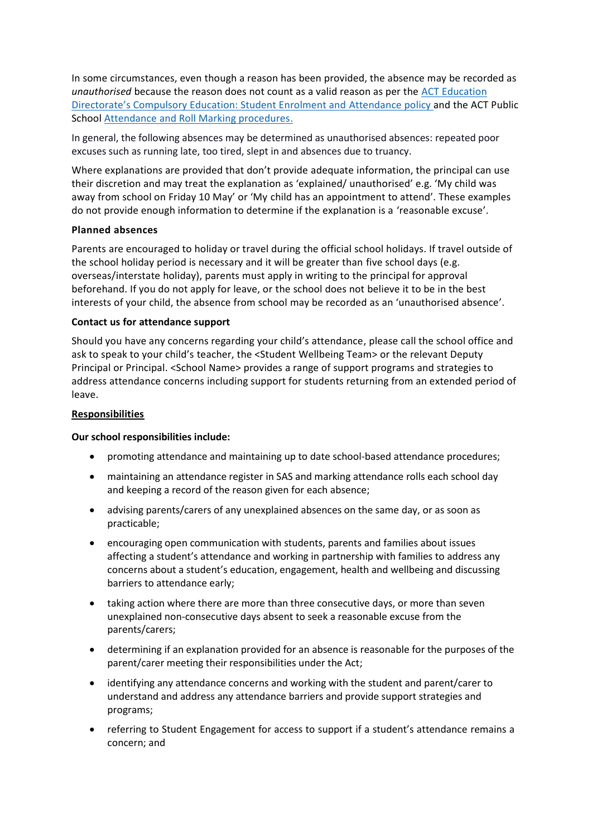In some circumstances, even though a reason has been provided, the absence may be recorded as *unauthorised* because the reason does not count as a valid reason as per the ACT Education Directorate's Compulsory Education: Student Enrolment and [Attendance](https://www.education.act.gov.au/publications_and_policies/policies) policy and the ACT Public School [Attendance and Roll Marking procedures.](https://www.education.act.gov.au/publications_and_policies/policies)

In general, the following absences may be determined as unauthorised absences: repeated poor excuses such as running late, too tired, slept in and absences due to truancy.

Where explanations are provided that don't provide adequate information, the principal can use their discretion and may treat the explanation as 'explained/ unauthorised' e.g. 'My child was away from school on Friday 10 May' or 'My child has an appointment to attend'. These examples do not provide enough information to determine if the explanation is a 'reasonable excuse'.

#### **Planned absences**

Parents are encouraged to holiday or travel during the official school holidays. If travel outside of the school holiday period is necessary and it will be greater than five school days (e.g. overseas/interstate holiday), parents must apply in writing to the principal for approval beforehand. If you do not apply for leave, or the school does not believe it to be in the best interests of your child, the absence from school may be recorded as an 'unauthorised absence'.

#### **Contact us for attendance support**

Should you have any concerns regarding your child's attendance, please call the school office and ask to speak to your child's teacher, the <Student Wellbeing Team> or the relevant Deputy Principal or Principal. <School Name> provides a range of support programs and strategies to address attendance concerns including support for students returning from an extended period of leave.

#### **Responsibilities**

#### **Our school responsibilities include:**

- promoting attendance and maintaining up to date school-based attendance procedures;
- maintaining an attendance register in SAS and marking attendance rolls each school day and keeping a record of the reason given for each absence;
- advising parents/carers of any unexplained absences on the same day, or as soon as practicable;
- encouraging open communication with students, parents and families about issues affecting a student's attendance and working in partnership with families to address any concerns about a student's education, engagement, health and wellbeing and discussing barriers to attendance early;
- taking action where there are more than three consecutive days, or more than seven unexplained non-consecutive days absent to seek a reasonable excuse from the parents/carers;
- determining if an explanation provided for an absence is reasonable for the purposes of the parent/carer meeting their responsibilities under the Act;
- identifying any attendance concerns and working with the student and parent/carer to understand and address any attendance barriers and provide support strategies and programs;
- referring to Student Engagement for access to support if a student's attendance remains a concern; and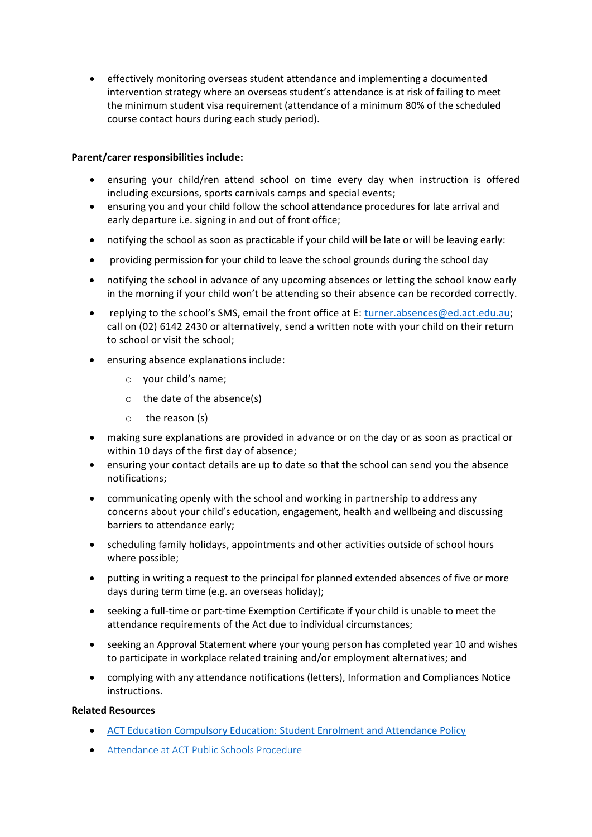• effectively monitoring overseas student attendance and implementing a documented intervention strategy where an overseas student's attendance is at risk of failing to meet the minimum student visa requirement (attendance of a minimum 80% of the scheduled course contact hours during each study period).

# **Parent/carer responsibilities include:**

- ensuring your child/ren attend school on time every day when instruction is offered including excursions, sports carnivals camps and special events;
- ensuring you and your child follow the school attendance procedures for late arrival and early departure i.e. signing in and out of front office;
- notifying the school as soon as practicable if your child will be late or will be leaving early:
- providing permission for your child to leave the school grounds during the school day
- notifying the school in advance of any upcoming absences or letting the school know early in the morning if your child won't be attending so their absence can be recorded correctly.
- replying to the school's SMS, email the front office at E: [turner.absences@ed.act.edu.au;](mailto:turner.absences@ed.act.edu.au) call on (02) 6142 2430 or alternatively, send a written note with your child on their return to school or visit the school;
- ensuring absence explanations include:
	- o your child's name;
	- o the date of the absence(s)
	- o the reason (s)
- making sure explanations are provided in advance or on the day or as soon as practical or within 10 days of the first day of absence;
- ensuring your contact details are up to date so that the school can send you the absence notifications;
- communicating openly with the school and working in partnership to address any concerns about your child's education, engagement, health and wellbeing and discussing barriers to attendance early;
- scheduling family holidays, appointments and other activities outside of school hours where possible;
- putting in writing a request to the principal for planned extended absences of five or more days during term time (e.g. an overseas holiday);
- seeking a full-time or part-time Exemption Certificate if your child is unable to meet the attendance requirements of the Act due to individual circumstances;
- seeking an Approval Statement where your young person has completed year 10 and wishes to participate in workplace related training and/or employment alternatives; and
- complying with any attendance notifications (letters), Information and Compliances Notice instructions.

## **Related Resources**

- [ACT Education Compulsory Education: Student Enrolment and Attendance Policy](https://www.education.act.gov.au/publications_and_policies/School-and-Corporate-Policies/student-administration/enrolment-and-attendance/compulsory-education-student-enrolment-and-attendance-policy)
- [Attendance at ACT Public Schools Procedure](https://www.education.act.gov.au/publications_and_policies/School-and-Corporate-Policies/student-administration/enrolment-and-attendance/compulsory-education-student-enrolment-and-attendance-policy)